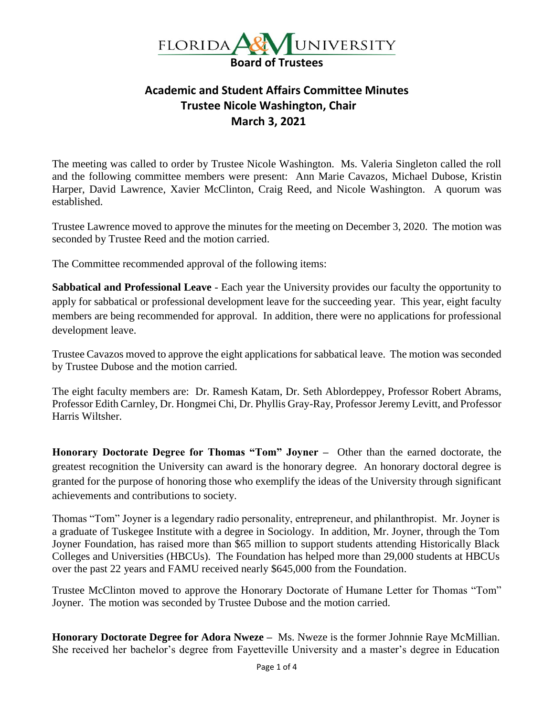

## **Academic and Student Affairs Committee Minutes Trustee Nicole Washington, Chair March 3, 2021**

The meeting was called to order by Trustee Nicole Washington. Ms. Valeria Singleton called the roll and the following committee members were present: Ann Marie Cavazos, Michael Dubose, Kristin Harper, David Lawrence, Xavier McClinton, Craig Reed, and Nicole Washington. A quorum was established.

Trustee Lawrence moved to approve the minutes for the meeting on December 3, 2020. The motion was seconded by Trustee Reed and the motion carried.

The Committee recommended approval of the following items:

**Sabbatical and Professional Leave** - Each year the University provides our faculty the opportunity to apply for sabbatical or professional development leave for the succeeding year. This year, eight faculty members are being recommended for approval. In addition, there were no applications for professional development leave.

Trustee Cavazos moved to approve the eight applications for sabbatical leave. The motion was seconded by Trustee Dubose and the motion carried.

The eight faculty members are: Dr. Ramesh Katam, Dr. Seth Ablordeppey, Professor Robert Abrams, Professor Edith Carnley, Dr. Hongmei Chi, Dr. Phyllis Gray-Ray, Professor Jeremy Levitt, and Professor Harris Wiltsher.

**Honorary Doctorate Degree for Thomas "Tom" Joyner –** Other than the earned doctorate, the greatest recognition the University can award is the honorary degree. An honorary doctoral degree is granted for the purpose of honoring those who exemplify the ideas of the University through significant achievements and contributions to society.

Thomas "Tom" Joyner is a legendary radio personality, entrepreneur, and philanthropist. Mr. Joyner is a graduate of Tuskegee Institute with a degree in Sociology. In addition, Mr. Joyner, through the Tom Joyner Foundation, has raised more than \$65 million to support students attending Historically Black Colleges and Universities (HBCUs). The Foundation has helped more than 29,000 students at HBCUs over the past 22 years and FAMU received nearly \$645,000 from the Foundation.

Trustee McClinton moved to approve the Honorary Doctorate of Humane Letter for Thomas "Tom" Joyner. The motion was seconded by Trustee Dubose and the motion carried.

**Honorary Doctorate Degree for Adora Nweze –** Ms. Nweze is the former Johnnie Raye McMillian. She received her bachelor's degree from Fayetteville University and a master's degree in Education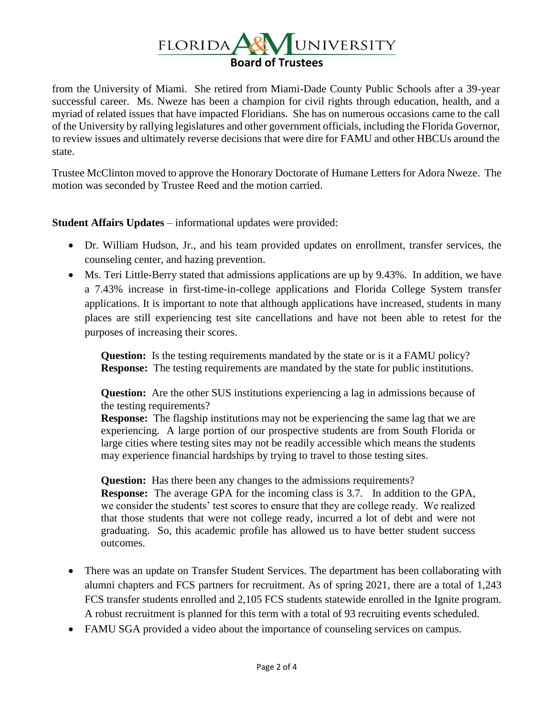

from the University of Miami. She retired from Miami-Dade County Public Schools after a 39-year successful career. Ms. Nweze has been a champion for civil rights through education, health, and a myriad of related issues that have impacted Floridians. She has on numerous occasions came to the call of the University by rallying legislatures and other government officials, including the Florida Governor, to review issues and ultimately reverse decisions that were dire for FAMU and other HBCUs around the state.

Trustee McClinton moved to approve the Honorary Doctorate of Humane Letters for Adora Nweze. The motion was seconded by Trustee Reed and the motion carried.

**Student Affairs Updates** – informational updates were provided:

- Dr. William Hudson, Jr., and his team provided updates on enrollment, transfer services, the counseling center, and hazing prevention.
- Ms. Teri Little-Berry stated that admissions applications are up by 9.43%. In addition, we have a 7.43% increase in first-time-in-college applications and Florida College System transfer applications. It is important to note that although applications have increased, students in many places are still experiencing test site cancellations and have not been able to retest for the purposes of increasing their scores.

**Question:** Is the testing requirements mandated by the state or is it a FAMU policy? **Response:** The testing requirements are mandated by the state for public institutions.

**Question:** Are the other SUS institutions experiencing a lag in admissions because of the testing requirements?

**Response:** The flagship institutions may not be experiencing the same lag that we are experiencing. A large portion of our prospective students are from South Florida or large cities where testing sites may not be readily accessible which means the students may experience financial hardships by trying to travel to those testing sites.

**Question:** Has there been any changes to the admissions requirements?

**Response:** The average GPA for the incoming class is 3.7. In addition to the GPA, we consider the students' test scores to ensure that they are college ready. We realized that those students that were not college ready, incurred a lot of debt and were not graduating. So, this academic profile has allowed us to have better student success outcomes.

- There was an update on Transfer Student Services. The department has been collaborating with alumni chapters and FCS partners for recruitment. As of spring 2021, there are a total of 1,243 FCS transfer students enrolled and 2,105 FCS students statewide enrolled in the Ignite program. A robust recruitment is planned for this term with a total of 93 recruiting events scheduled.
- FAMU SGA provided a video about the importance of counseling services on campus.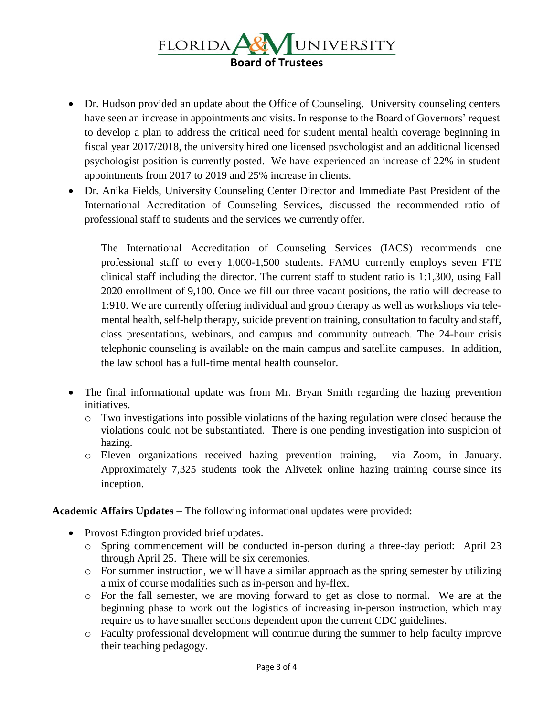

- Dr. Hudson provided an update about the Office of Counseling. University counseling centers have seen an increase in appointments and visits. In response to the Board of Governors' request to develop a plan to address the critical need for student mental health coverage beginning in fiscal year 2017/2018, the university hired one licensed psychologist and an additional licensed psychologist position is currently posted. We have experienced an increase of 22% in student appointments from 2017 to 2019 and 25% increase in clients.
- Dr. Anika Fields, University Counseling Center Director and Immediate Past President of the International Accreditation of Counseling Services, discussed the recommended ratio of professional staff to students and the services we currently offer.

The International Accreditation of Counseling Services (IACS) recommends one professional staff to every 1,000-1,500 students. FAMU currently employs seven FTE clinical staff including the director. The current staff to student ratio is 1:1,300, using Fall 2020 enrollment of 9,100. Once we fill our three vacant positions, the ratio will decrease to 1:910. We are currently offering individual and group therapy as well as workshops via telemental health, self-help therapy, suicide prevention training, consultation to faculty and staff, class presentations, webinars, and campus and community outreach. The 24-hour crisis telephonic counseling is available on the main campus and satellite campuses. In addition, the law school has a full-time mental health counselor.

- The final informational update was from Mr. Bryan Smith regarding the hazing prevention initiatives.
	- o Two investigations into possible violations of the hazing regulation were closed because the violations could not be substantiated. There is one pending investigation into suspicion of hazing.
	- o Eleven organizations received hazing prevention training, via Zoom, in January. Approximately 7,325 students took the Alivetek online hazing training course since its inception.

**Academic Affairs Updates** – The following informational updates were provided:

- Provost Edington provided brief updates.
	- o Spring commencement will be conducted in-person during a three-day period: April 23 through April 25. There will be six ceremonies.
	- o For summer instruction, we will have a similar approach as the spring semester by utilizing a mix of course modalities such as in-person and hy-flex.
	- o For the fall semester, we are moving forward to get as close to normal. We are at the beginning phase to work out the logistics of increasing in-person instruction, which may require us to have smaller sections dependent upon the current CDC guidelines.
	- o Faculty professional development will continue during the summer to help faculty improve their teaching pedagogy.